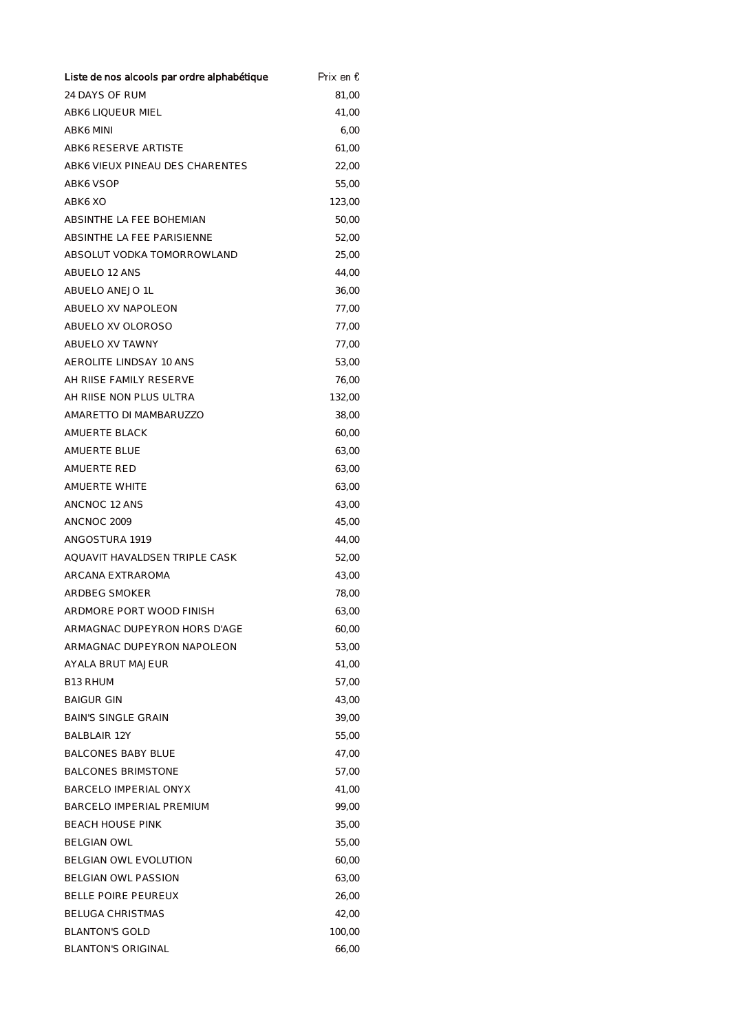| Liste de nos alcools par ordre alphabétique | Prix en € |
|---------------------------------------------|-----------|
| 24 DAYS OF RUM                              | 81,00     |
| ABK6 LIQUEUR MIEL                           | 41,00     |
| ABK6 MINI                                   | 6,00      |
| ABK6 RESERVE ARTISTE                        | 61,00     |
| ABK6 VIEUX PINEAU DES CHARENTES             | 22,00     |
| ABK6 VSOP                                   | 55,00     |
| ABK6 XO                                     | 123,00    |
| ABSINTHE LA FEE BOHEMIAN                    | 50,00     |
| ABSINTHE LA FEE PARISIENNE                  | 52,00     |
| ABSOLUT VODKA TOMORROWLAND                  | 25,00     |
| ABUELO 12 ANS                               | 44,00     |
| ABUELO ANEJO 1L                             | 36,00     |
| ABUELO XV NAPOLEON                          | 77,00     |
| ABUELO XV OLOROSO                           | 77,00     |
| ABUELO XV TAWNY                             | 77,00     |
| AEROLITE LINDSAY 10 ANS                     | 53,00     |
| AH RIISE FAMILY RESERVE                     | 76,00     |
| AH RIISE NON PLUS ULTRA                     | 132,00    |
| AMARETTO DI MAMBARUZZO                      | 38,00     |
| AMUERTE BLACK                               | 60,00     |
| AMUERTE BLUE                                | 63,00     |
| AMUERTE RED                                 | 63,00     |
| AMUERTE WHITE                               | 63,00     |
| ANCNOC 12 ANS                               | 43,00     |
| ANCNOC 2009                                 | 45,00     |
| ANGOSTURA 1919                              | 44,00     |
| AQUAVIT HAVALDSEN TRIPLE CASK               | 52,00     |
| ARCANA EXTRAROMA                            | 43,00     |
| ARDBEG SMOKER                               | 78,00     |
| ARDMORE PORT WOOD FINISH                    | 63,00     |
| ARMAGNAC DUPEYRON HORS D'AGE                | 60,00     |
| ARMAGNAC DUPEYRON NAPOLEON                  | 53,00     |
| AYALA BRUT MAJEUR                           | 41,00     |
| <b>B13 RHUM</b>                             | 57,00     |
| <b>BAIGUR GIN</b>                           | 43,00     |
| BAIN'S SINGLE GRAIN                         | 39,00     |
| <b>BAI BI AIR 12Y</b>                       | 55,00     |
| <b>BALCONES BABY BLUE</b>                   | 47,00     |
| <b>BALCONES BRIMSTONE</b>                   | 57,00     |
| BARCELO IMPERIAL ONYX                       | 41,00     |
| BARCELO IMPERIAL PREMIUM                    | 99,00     |
| <b>BEACH HOUSE PINK</b>                     | 35,00     |
| BELGIAN OWL                                 | 55,00     |
| BELGIAN OWL EVOLUTION                       | 60,00     |
| BELGIAN OWL PASSION                         | 63,00     |
| <b>BELLE POIRE PEUREUX</b>                  | 26,00     |
| BELUGA CHRISTMAS                            | 42,00     |
| <b>BLANTON'S GOLD</b>                       | 100,00    |
| BLANTON'S ORIGINAL                          | 66,00     |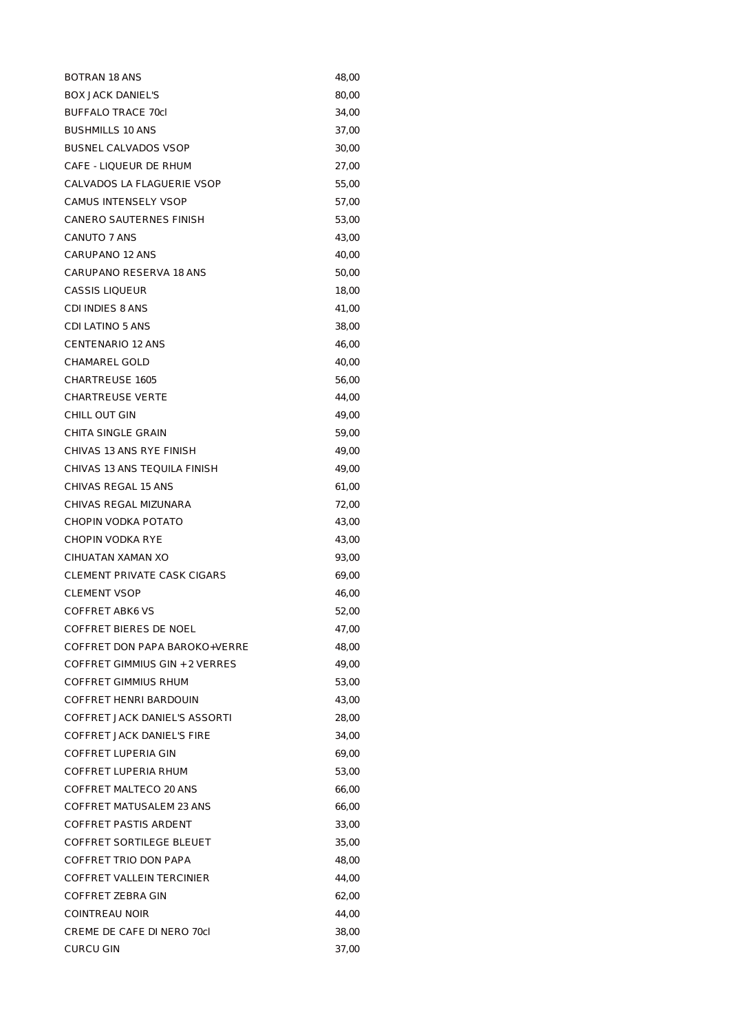| <b>BOTRAN 18 ANS</b>           | 48,00 |
|--------------------------------|-------|
| <b>BOX JACK DANIEL'S</b>       | 80,00 |
| <b>BUFFALO TRACE 70cl</b>      | 34,00 |
| <b>BUSHMILLS 10 ANS</b>        | 37,00 |
| <b>BUSNEL CALVADOS VSOP</b>    | 30,00 |
| CAFE - LIQUEUR DE RHUM         | 27,00 |
| CALVADOS LA FLAGUERIE VSOP     | 55,00 |
| CAMUS INTENSELY VSOP           | 57,00 |
| CANERO SAUTERNES FINISH        | 53,00 |
| CANUTO 7 ANS                   | 43,00 |
| CARUPANO 12 ANS                | 40,00 |
| CARUPANO RESERVA 18 ANS        | 50,00 |
| <b>CASSIS LIQUEUR</b>          | 18,00 |
| <b>CDI INDIES 8 ANS</b>        | 41,00 |
| CDI LATINO 5 ANS               | 38,00 |
| <b>CENTENARIO 12 ANS</b>       | 46,00 |
| CHAMAREL GOLD                  | 40,00 |
| <b>CHARTREUSE 1605</b>         | 56,00 |
| <b>CHARTREUSE VERTE</b>        | 44,00 |
| CHILL OUT GIN                  | 49,00 |
| CHITA SINGLE GRAIN             | 59,00 |
| CHIVAS 13 ANS RYE FINISH       | 49,00 |
| CHIVAS 13 ANS TEQUILA FINISH   | 49,00 |
| CHIVAS REGAL 15 ANS            | 61,00 |
| CHIVAS REGAL MIZUNARA          | 72,00 |
| CHOPIN VODKA POTATO            | 43,00 |
| CHOPIN VODKA RYE               | 43,00 |
| CIHUATAN XAMAN XO              | 93,00 |
| CLEMENT PRIVATE CASK CIGARS    | 69,00 |
| <b>CLEMENT VSOP</b>            | 46,00 |
| COFFRET ABK6 VS                | 52,00 |
| <b>COFFRET BIERES DE NOEL</b>  | 47,00 |
| COFFRET DON PAPA BAROKO+VERRE  | 48,00 |
| COFFRET GIMMIUS GIN + 2 VERRES | 49,00 |
| COFFRET GIMMIUS RHUM           | 53,00 |
| COFFRET HENRI BARDOUIN         | 43,00 |
| COFFRET JACK DANIEL'S ASSORTI  | 28,00 |
| COFFRET JACK DANIEL'S FIRE     | 34,00 |
| COFFRET LUPERIA GIN            | 69,00 |
| COFFRET LUPERIA RHUM           | 53,00 |
| COFFRET MALTECO 20 ANS         | 66,00 |
| COFFRET MATUSALEM 23 ANS       | 66,00 |
| COFFRET PASTIS ARDENT          | 33,00 |
| COFFRET SORTILEGE BLEUET       | 35,00 |
| COFFRET TRIO DON PAPA          | 48,00 |
| COFFRET VALLEIN TERCINIER      | 44,00 |
| COFFRET ZEBRA GIN              | 62,00 |
| <b>COINTREAU NOIR</b>          | 44,00 |
| CREME DE CAFE DI NERO 70cl     | 38,00 |
| <b>CURCU GIN</b>               | 37,00 |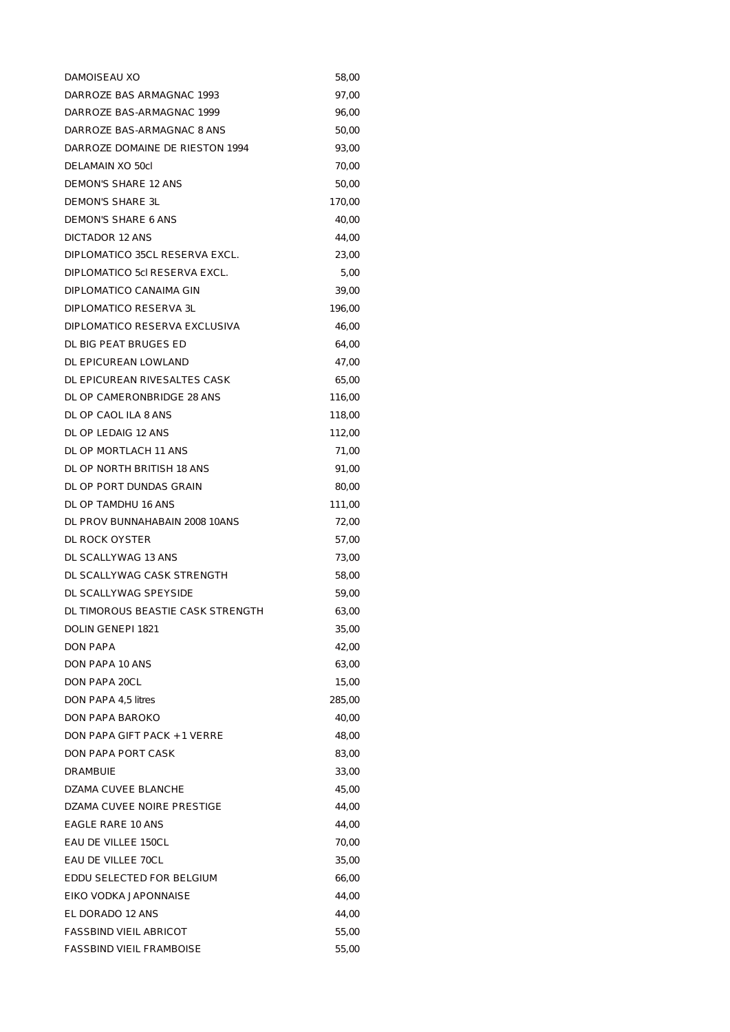| DAMOISEAU XO                      | 58,00  |
|-----------------------------------|--------|
| DARROZE BAS ARMAGNAC 1993         | 97,00  |
| DARROZE BAS-ARMAGNAC 1999         | 96,00  |
| DARROZE BAS-ARMAGNAC 8 ANS        | 50,00  |
| DARROZE DOMAINE DE RIESTON 1994   | 93,00  |
| DELAMAIN XO 50cl                  | 70,00  |
| <b>DEMON'S SHARE 12 ANS</b>       | 50,00  |
| DEMON'S SHARE 3L                  | 170,00 |
| <b>DEMON'S SHARE 6 ANS</b>        | 40,00  |
| DICTADOR 12 ANS                   | 44,00  |
| DIPLOMATICO 35CL RESERVA EXCL.    | 23,00  |
| DIPLOMATICO 5cl RESERVA EXCL.     | 5,00   |
| DIPLOMATICO CANAIMA GIN           | 39,00  |
| DIPLOMATICO RESERVA 3L            | 196,00 |
| DIPLOMATICO RESERVA EXCLUSIVA     | 46,00  |
| DL BIG PEAT BRUGES ED             | 64,00  |
| DL EPICUREAN LOWLAND              | 47,00  |
| DL EPICUREAN RIVESALTES CASK      | 65,00  |
| DL OP CAMERONBRIDGE 28 ANS        | 116,00 |
| DL OP CAOL ILA 8 ANS              | 118,00 |
| DL OP LEDAIG 12 ANS               | 112,00 |
| DL OP MORTLACH 11 ANS             | 71,00  |
| DL OP NORTH BRITISH 18 ANS        | 91,00  |
| DL OP PORT DUNDAS GRAIN           | 80,00  |
| DL OP TAMDHU 16 ANS               | 111,00 |
| DL PROV BUNNAHABAIN 2008 10ANS    | 72,00  |
| DL ROCK OYSTER                    | 57,00  |
| DL SCALLYWAG 13 ANS               | 73,00  |
| DL SCALLYWAG CASK STRENGTH        | 58,00  |
| DL SCALLYWAG SPEYSIDE             | 59,00  |
| DL TIMOROUS BEASTIE CASK STRENGTH | 63,00  |
| DOLIN GENEPI 1821                 | 35,00  |
| DON PAPA                          | 42,00  |
| DON PAPA 10 ANS                   | 63,00  |
| <b>DON PAPA 20CL</b>              | 15,00  |
| DON PAPA 4,5 litres               | 285,00 |
| DON PAPA BAROKO                   | 40,00  |
| DON PAPA GIFT PACK + 1 VERRE      | 48,00  |
| DON PAPA PORT CASK                | 83,00  |
| DRAMBUIE                          | 33,00  |
| DZAMA CUVEE BLANCHE               | 45,00  |
| DZAMA CUVEE NOIRE PRESTIGE        | 44,00  |
| EAGLE RARE 10 ANS                 | 44,00  |
| EAU DE VILLEE 150CL               | 70,00  |
| EAU DE VILLEE 70CL                | 35,00  |
| EDDU SELECTED FOR BELGIUM         | 66,00  |
| EIKO VODKA JAPONNAISE             | 44,00  |
| EL DORADO 12 ANS                  | 44,00  |
| <b>FASSBIND VIEIL ABRICOT</b>     | 55,00  |
| FASSBIND VIEIL FRAMBOISE          | 55,00  |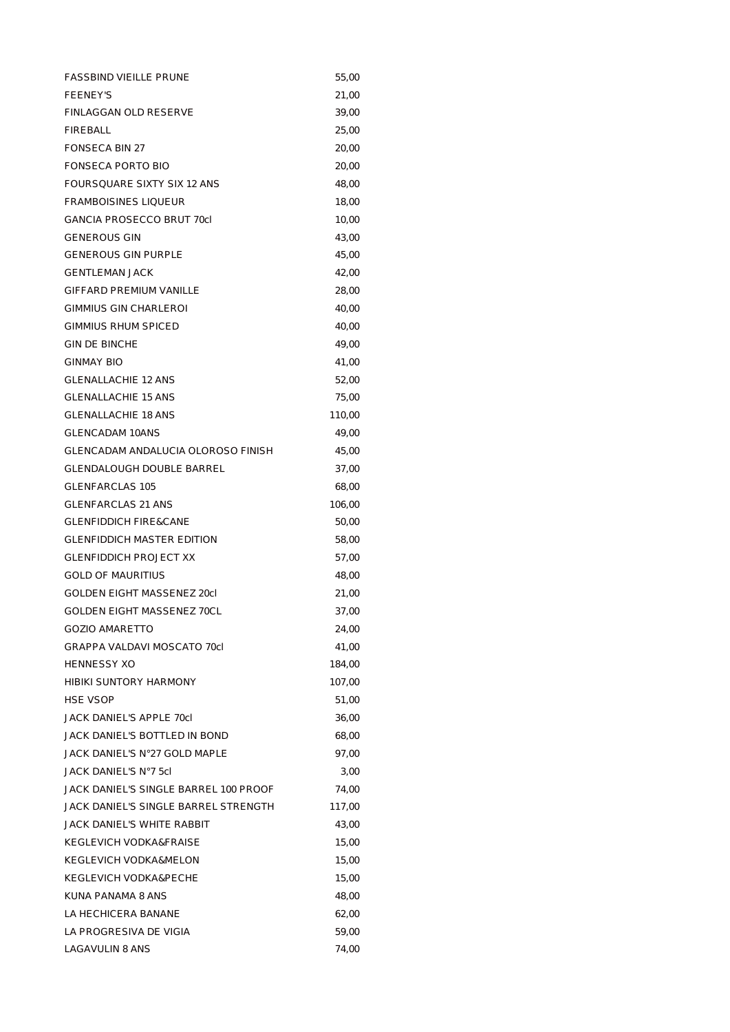| <b>FASSBIND VIEILLE PRUNE</b>         | 55,00  |
|---------------------------------------|--------|
| <b>FEENEY'S</b>                       | 21,00  |
| FINLAGGAN OLD RESERVE                 | 39,00  |
| <b>FIREBALL</b>                       | 25,00  |
| <b>FONSECA BIN 27</b>                 | 20,00  |
| FONSECA PORTO BIO                     | 20,00  |
| FOURSQUARE SIXTY SIX 12 ANS           | 48,00  |
| <b>FRAMBOISINES LIQUEUR</b>           | 18,00  |
| <b>GANCIA PROSECCO BRUT 70cl</b>      | 10,00  |
| <b>GENEROUS GIN</b>                   | 43,00  |
| <b>GENEROUS GIN PURPLE</b>            | 45,00  |
| <b>GENTLEMAN JACK</b>                 | 42,00  |
| <b>GIFFARD PREMIUM VANILLE</b>        | 28,00  |
| <b>GIMMIUS GIN CHARLEROI</b>          | 40,00  |
| <b>GIMMIUS RHUM SPICED</b>            | 40,00  |
| <b>GIN DE BINCHE</b>                  | 49,00  |
| <b>GINMAY BIO</b>                     | 41,00  |
| <b>GLENALLACHIE 12 ANS</b>            | 52,00  |
| <b>GLENALLACHIE 15 ANS</b>            | 75,00  |
| <b>GLENALLACHIE 18 ANS</b>            | 110,00 |
| <b>GLENCADAM 10ANS</b>                | 49,00  |
| GLENCADAM ANDALUCIA OLOROSO FINISH    | 45,00  |
| GLENDALOUGH DOUBLE BARREL             | 37,00  |
| <b>GLENFARCLAS 105</b>                | 68,00  |
| <b>GLENFARCLAS 21 ANS</b>             | 106,00 |
| <b>GLENFIDDICH FIRE&amp;CANE</b>      | 50,00  |
| <b>GLENFIDDICH MASTER EDITION</b>     | 58,00  |
| <b>GLENFIDDICH PROJECT XX</b>         | 57,00  |
| <b>GOLD OF MAURITIUS</b>              | 48,00  |
| GOLDEN EIGHT MASSENEZ 20cl            | 21,00  |
| <b>GOLDEN EIGHT MASSENEZ 70CL</b>     | 37,00  |
| <b>GOZIO AMARETTO</b>                 | 24,00  |
| GRAPPA VALDAVI MOSCATO 70cl           | 41,00  |
| HENNESSY XO                           | 184,00 |
| <b>HIBIKI SUNTORY HARMONY</b>         | 107,00 |
| <b>HSE VSOP</b>                       | 51,00  |
| JACK DANIEL'S APPLE 70cl              | 36,00  |
| JACK DANIEL'S BOTTLED IN BOND         | 68,00  |
| JACK DANIEL'S N°27 GOLD MAPLE         | 97,00  |
| JACK DANIEL'S N°7 5cl                 | 3,00   |
| JACK DANIEL'S SINGLE BARREL 100 PROOF | 74,00  |
| JACK DANIEL'S SINGLE BARREL STRENGTH  | 117,00 |
| JACK DANIEL'S WHITE RABBIT            | 43,00  |
| KEGLEVICH VODKA&FRAISE                | 15,00  |
| KEGLEVICH VODKA&MELON                 | 15,00  |
| KEGLEVICH VODKA&PECHE                 | 15,00  |
| KUNA PANAMA 8 ANS                     | 48,00  |
| LA HECHICERA BANANE                   | 62,00  |
| LA PROGRESIVA DE VIGIA                | 59,00  |
| LAGAVULIN 8 ANS                       | 74,00  |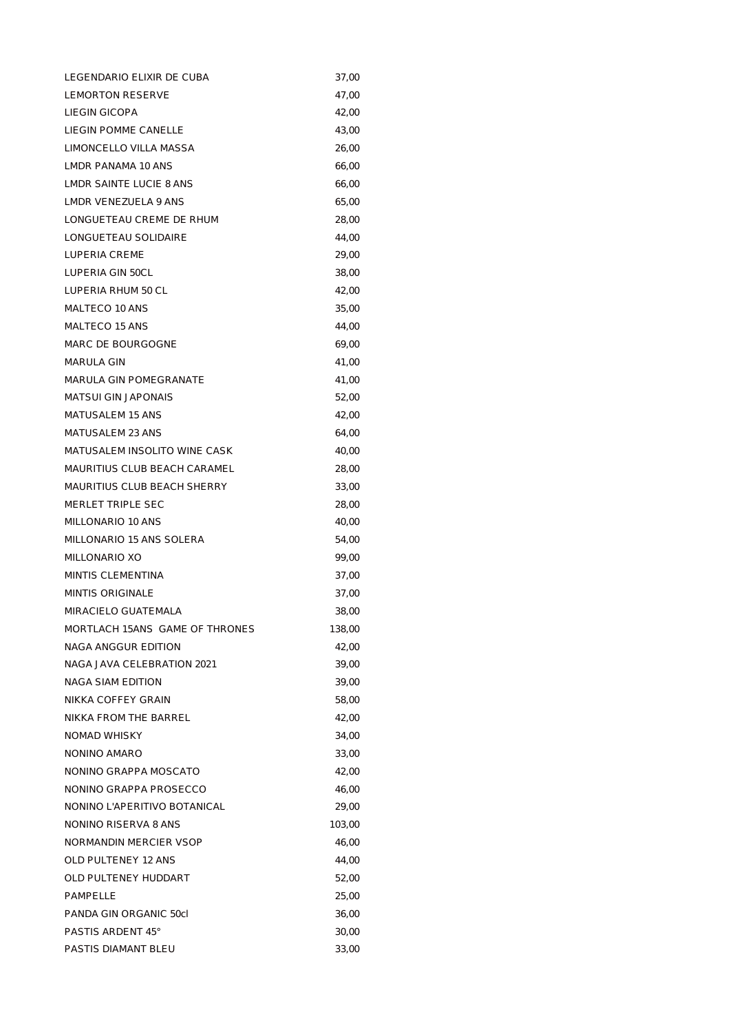| LEGENDARIO ELIXIR DE CUBA      | 37,00  |
|--------------------------------|--------|
| <b>LEMORTON RESERVE</b>        | 47,00  |
| <b>LIEGIN GICOPA</b>           | 42,00  |
| LIEGIN POMME CANELLE           | 43,00  |
| LIMONCELLO VILLA MASSA         | 26,00  |
| LMDR PANAMA 10 ANS             | 66,00  |
| LMDR SAINTE LUCIE 8 ANS        | 66,00  |
| LMDR VENEZUELA 9 ANS           | 65,00  |
| LONGUETEAU CREME DE RHUM       | 28,00  |
| LONGUETEAU SOLIDAIRE           | 44,00  |
| LUPERIA CREME                  | 29,00  |
| LUPERIA GIN 50CL               | 38,00  |
| LUPERIA RHUM 50 CL             | 42,00  |
| MALTECO 10 ANS                 | 35,00  |
| MALTECO 15 ANS                 | 44,00  |
| MARC DE BOURGOGNE              | 69,00  |
| MARULA GIN                     | 41,00  |
| MARULA GIN POMEGRANATE         | 41,00  |
| <b>MATSUI GIN JAPONAIS</b>     | 52,00  |
| MATUSALEM 15 ANS               | 42,00  |
| MATUSALEM 23 ANS               | 64,00  |
| MATUSALEM INSOLITO WINE CASK   | 40,00  |
| MAURITIUS CLUB BEACH CARAMEL   | 28,00  |
| MAURITIUS CLUB BEACH SHERRY    | 33,00  |
| MERLET TRIPLE SEC              | 28,00  |
| MILLONARIO 10 ANS              | 40,00  |
| MILLONARIO 15 ANS SOLERA       | 54,00  |
| MILLONARIO XO                  | 99,00  |
| <b>MINTIS CLEMENTINA</b>       | 37,00  |
| <b>MINTIS ORIGINALE</b>        | 37,00  |
| MIRACIFI O GUATEMAI A          | 38,00  |
| MORTLACH 15ANS GAME OF THRONES | 138,00 |
| NAGA ANGGUR EDITION            | 42,00  |
| NAGA JAVA CELEBRATION 2021     | 39,00  |
| <b>NAGA SIAM EDITION</b>       | 39,00  |
| NIKKA COFFEY GRAIN             | 58,00  |
| NIKKA FROM THE BARREL          | 42,00  |
| <b>NOMAD WHISKY</b>            | 34,00  |
| NONINO AMARO                   | 33,00  |
| NONINO GRAPPA MOSCATO          | 42,00  |
| NONINO GRAPPA PROSECCO         | 46,00  |
| NONINO L'APERITIVO BOTANICAL   | 29,00  |
| NONINO RISERVA 8 ANS           | 103,00 |
| NORMANDIN MERCIER VSOP         | 46,00  |
| <b>OLD PULTENEY 12 ANS</b>     | 44,00  |
| OLD PULTENEY HUDDART           | 52,00  |
| PAMPELLE                       | 25,00  |
| PANDA GIN ORGANIC 50cl         | 36,00  |
| PASTIS ARDENT 45°              | 30,00  |
| PASTIS DIAMANT BLEU            | 33,00  |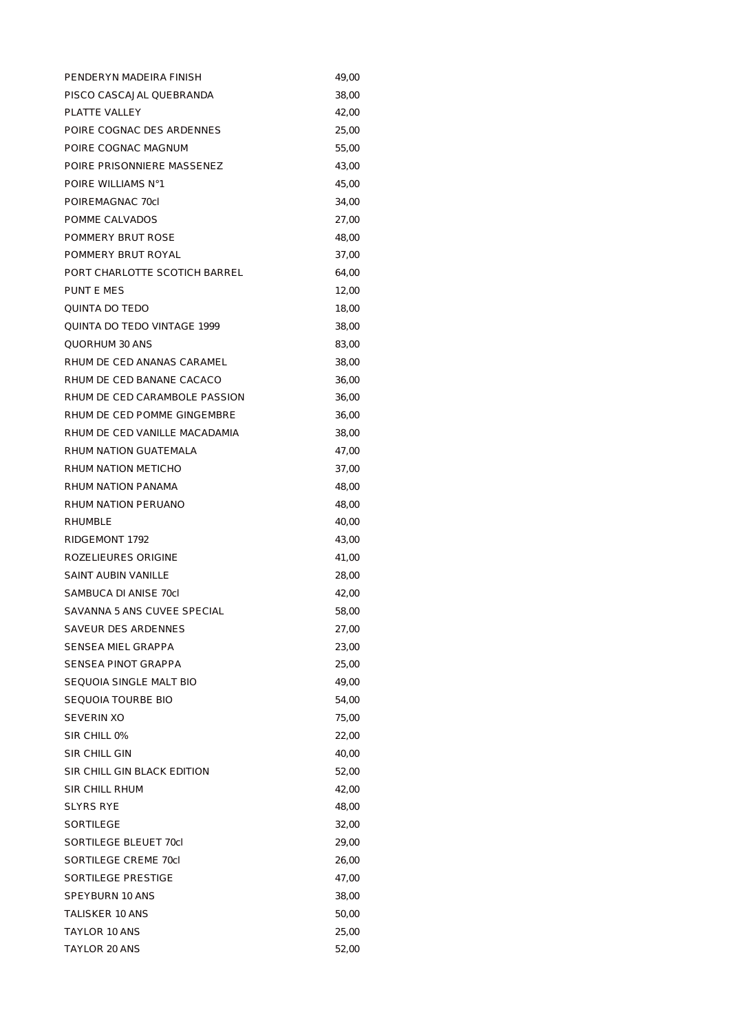| PENDERYN MADEIRA FINISH       | 49,00 |
|-------------------------------|-------|
| PISCO CASCAJAL QUEBRANDA      | 38,00 |
| PLATTE VALLEY                 | 42,00 |
| POIRE COGNAC DES ARDENNES     | 25,00 |
| POIRE COGNAC MAGNUM           | 55,00 |
| POIRE PRISONNIERE MASSENEZ    | 43,00 |
| POIRE WILLIAMS N°1            | 45,00 |
| POIREMAGNAC 70cl              | 34,00 |
| POMME CALVADOS                | 27,00 |
| POMMERY BRUT ROSE             | 48,00 |
| POMMERY BRUT ROYAL            | 37,00 |
| PORT CHARLOTTE SCOTICH BARREL | 64,00 |
| PUNT E MES                    | 12,00 |
| QUINTA DO TEDO                | 18,00 |
| QUINTA DO TEDO VINTAGE 1999   | 38,00 |
| QUORHUM 30 ANS                | 83,00 |
| RHUM DE CED ANANAS CARAMEL    | 38,00 |
| RHUM DE CED BANANE CACACO     | 36,00 |
| RHUM DE CED CARAMBOLE PASSION | 36,00 |
| RHUM DE CED POMME GINGEMBRE   | 36,00 |
| RHUM DE CED VANILLE MACADAMIA | 38,00 |
| RHUM NATION GUATEMALA         | 47,00 |
| RHUM NATION METICHO           | 37,00 |
| RHUM NATION PANAMA            | 48,00 |
| RHUM NATION PERUANO           | 48,00 |
| RHUMBLE                       | 40,00 |
| RIDGEMONT 1792                | 43,00 |
| ROZELIEURES ORIGINE           | 41,00 |
| SAINT AUBIN VANILLE           | 28,00 |
| SAMBUCA DI ANISE 70cl         | 42,00 |
| SAVANNA 5 ANS CUVEE SPECIAL   | 58,00 |
| SAVEUR DES ARDENNES           | 27,00 |
| SENSEA MIEL GRAPPA            | 23,00 |
| SENSEA PINOT GRAPPA           | 25,00 |
| SEQUOIA SINGLE MALT BIO       | 49,00 |
| SEQUOIA TOURBE BIO            | 54,00 |
| SEVERIN XO                    | 75,00 |
| SIR CHILL 0%                  | 22,00 |
| SIR CHILL GIN                 | 40,00 |
| SIR CHILL GIN BLACK EDITION   | 52,00 |
| SIR CHILL RHUM                | 42,00 |
| SLYRS RYE                     | 48,00 |
| SORTILEGE                     | 32,00 |
| SORTILEGE BLEUET 70cl         | 29,00 |
| SORTILEGE CREME 70cl          | 26,00 |
| SORTILEGE PRESTIGE            | 47,00 |
| SPEYBURN 10 ANS               | 38,00 |
| TALISKER 10 ANS               | 50,00 |
| TAYLOR 10 ANS                 | 25,00 |
| TAYLOR 20 ANS                 | 52,00 |